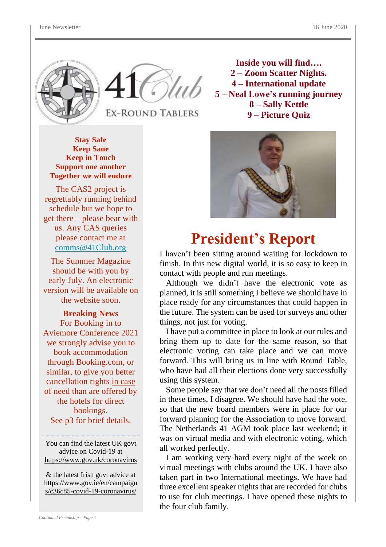



**EX-ROUND TABLERS** 

**Inside you will find…. – Zoom Scatter Nights. – International update – Neal Lowe's running journey – Sally Kettle – Picture Quiz**

**Stay Safe Keep Sane**<br> *Appril**Keep in Toyot* **Keep in Touch Support one another Together we will endure**

The CAS2 project is regrettably running behind schedule but we hope to get there – please bear with us. Any CAS queries please contact me at [comms@41Club.org](about:blank)

The Summer Magazine should be with you by early July. An electronic version will be available on the website soon.

**Breaking News** For Booking in to Aviemore Conference 2021 we strongly advise you to book accommodation through Booking.com, or similar, to give you better cancellation rights in case of need than are offered by the hotels for direct bookings. See p3 for brief details.

You can find the latest UK govt advice on Covid-19 at [https://www.gov.uk/coronavirus](about:blank)

& the latest Irish govt advice at [https://www.gov.ie/en/campaign](about:blank) [s/c36c85-covid-19-coronavirus/](about:blank)



# **President's Report**

I haven't been sitting around waiting for lockdown to finish. In this new digital world, it is so easy to keep in contact with people and run meetings.

 Although we didn't have the electronic vote as planned, it is still something I believe we should have in place ready for any circumstances that could happen in the future. The system can be used for surveys and other things, not just for voting.

 I have put a committee in place to look at our rules and bring them up to date for the same reason, so that electronic voting can take place and we can move forward. This will bring us in line with Round Table, who have had all their elections done very successfully using this system.

 Some people say that we don't need all the posts filled in these times, I disagree. We should have had the vote, so that the new board members were in place for our forward planning for the Association to move forward. The Netherlands 41 AGM took place last weekend; it was on virtual media and with electronic voting, which all worked perfectly.

 I am working very hard every night of the week on virtual meetings with clubs around the UK. I have also taken part in two International meetings. We have had three excellent speaker nights that are recorded for clubs to use for club meetings. I have opened these nights to the four club family.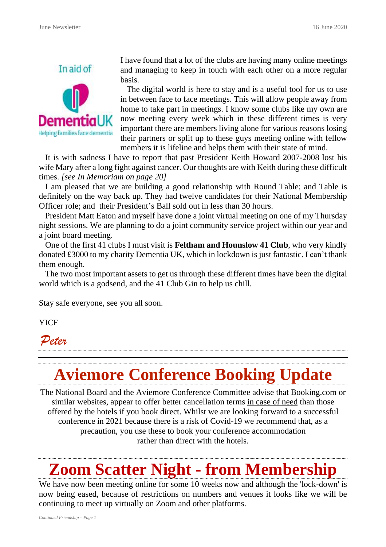

I have found that a lot of the clubs are having many online meetings and managing to keep in touch with each other on a more regular basis.

 The digital world is here to stay and is a useful tool for us to use in between face to face meetings. This will allow people away from home to take part in meetings. I know some clubs like my own are now meeting every week which in these different times is very important there are members living alone for various reasons losing their partners or split up to these guys meeting online with fellow members it is lifeline and helps them with their state of mind.

 It is with sadness I have to report that past President Keith Howard 2007-2008 lost his wife Mary after a long fight against cancer. Our thoughts are with Keith during these difficult times. *[see In Memoriam on page 20]*

 I am pleased that we are building a good relationship with Round Table; and Table is definitely on the way back up. They had twelve candidates for their National Membership Officer role; and their President's Ball sold out in less than 30 hours.

 President Matt Eaton and myself have done a joint virtual meeting on one of my Thursday night sessions. We are planning to do a joint community service project within our year and a joint board meeting.

 One of the first 41 clubs I must visit is **Feltham and Hounslow 41 Club**, who very kindly donated £3000 to my charity Dementia UK, which in lockdown is just fantastic. I can't thank them enough.

 The two most important assets to get us through these different times have been the digital world which is a godsend, and the 41 Club Gin to help us chill.

Stay safe everyone, see you all soon.

YICF

*Peter*

# **Aviemore Conference Booking Update**

The National Board and the Aviemore Conference Committee advise that Booking.com or similar websites, appear to offer better cancellation terms in case of need than those offered by the hotels if you book direct. Whilst we are looking forward to a successful conference in 2021 because there is a risk of Covid-19 we recommend that, as a precaution, you use these to book your conference accommodation rather than direct with the hotels.

# **Zoom Scatter Night - from Membership**

We have now been meeting online for some 10 weeks now and although the 'lock-down' is now being eased, because of restrictions on numbers and venues it looks like we will be continuing to meet up virtually on Zoom and other platforms.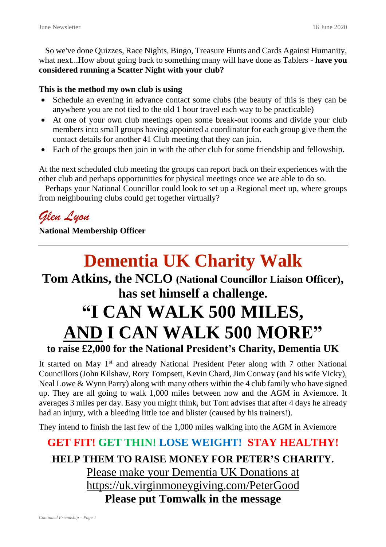So we've done Quizzes, Race Nights, Bingo, Treasure Hunts and Cards Against Humanity, what next...How about going back to something many will have done as Tablers - **have you considered running a Scatter Night with your club?**

#### **This is the method my own club is using**

- Schedule an evening in advance contact some clubs (the beauty of this is they can be anywhere you are not tied to the old 1 hour travel each way to be practicable)
- At one of your own club meetings open some break-out rooms and divide your club members into small groups having appointed a coordinator for each group give them the contact details for another 41 Club meeting that they can join.
- Each of the groups then join in with the other club for some friendship and fellowship.

At the next scheduled club meeting the groups can report back on their experiences with the other club and perhaps opportunities for physical meetings once we are able to do so.

 Perhaps your National Councillor could look to set up a Regional meet up, where groups from neighbouring clubs could get together virtually?

*Glen Lyon*

**National Membership Officer**

# **Dementia UK Charity Walk**

### **Tom Atkins, the NCLO (National Councillor Liaison Officer), has set himself a challenge.**

# **"I CAN WALK 500 MILES, AND I CAN WALK 500 MORE"**

#### **to raise £2,000 for the National President's Charity, Dementia UK**

It started on May 1<sup>st</sup> and already National President Peter along with 7 other National Councillors (John Kilshaw, Rory Tompsett, Kevin Chard, Jim Conway (and his wife Vicky), Neal Lowe & Wynn Parry) along with many others within the 4 club family who have signed up. They are all going to walk 1,000 miles between now and the AGM in Aviemore. It averages 3 miles per day. Easy you might think, but Tom advises that after 4 days he already had an injury, with a bleeding little toe and blister (caused by his trainers!).

They intend to finish the last few of the 1,000 miles walking into the AGM in Aviemore

### **GET FIT! GET THIN! LOSE WEIGHT! STAY HEALTHY! HELP THEM TO RAISE MONEY FOR PETER'S CHARITY.** Please make your Dementia UK [Donations](about:blank) at [https://uk.virginmoneygiving.com/PeterGood](about:blank) **Please put Tomwalk in the message**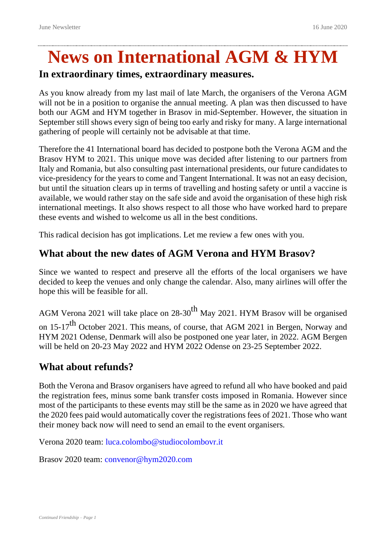# **News on International AGM & HYM**

#### **In extraordinary times, extraordinary measures.**

As you know already from my last mail of late March, the organisers of the Verona AGM will not be in a position to organise the annual meeting. A plan was then discussed to have both our AGM and HYM together in Brasov in mid-September. However, the situation in September still shows every sign of being too early and risky for many. A large international gathering of people will certainly not be advisable at that time.

Therefore the 41 International board has decided to postpone both the Verona AGM and the Brasov HYM to 2021. This unique move was decided after listening to our partners from Italy and Romania, but also consulting past international presidents, our future candidates to vice-presidency for the years to come and Tangent International. It was not an easy decision, but until the situation clears up in terms of travelling and hosting safety or until a vaccine is available, we would rather stay on the safe side and avoid the organisation of these high risk international meetings. It also shows respect to all those who have worked hard to prepare these events and wished to welcome us all in the best conditions.

This radical decision has got implications. Let me review a few ones with you.

#### **What about the new dates of AGM Verona and HYM Brasov?**

Since we wanted to respect and preserve all the efforts of the local organisers we have decided to keep the venues and only change the calendar. Also, many airlines will offer the hope this will be feasible for all.

AGM Verona 2021 will take place on  $28-30$ <sup>th</sup> May 2021. HYM Brasov will be organised on 15-17<sup>th</sup> October 2021. This means, of course, that AGM 2021 in Bergen, Norway and HYM 2021 Odense, Denmark will also be postponed one year later, in 2022. AGM Bergen will be held on 20-23 May 2022 and HYM 2022 Odense on 23-25 September 2022.

#### **What about refunds?**

Both the Verona and Brasov organisers have agreed to refund all who have booked and paid the registration fees, minus some bank transfer costs imposed in Romania. However since most of the participants to these events may still be the same as in 2020 we have agreed that the 2020 fees paid would automatically cover the registrations fees of 2021. Those who want their money back now will need to send an email to the event organisers.

Verona 2020 team: luca.colombo@studiocolombovr.it

Brasov 2020 team: convenor@hym2020.com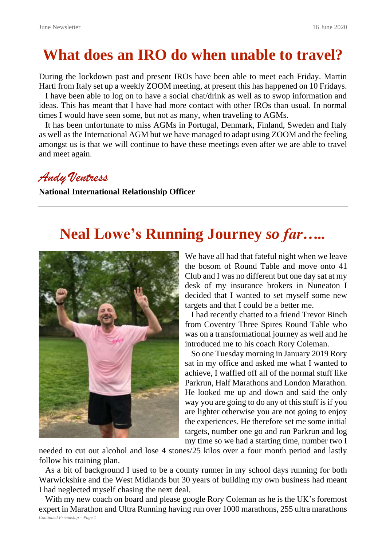# **What does an IRO do when unable to travel?**

During the lockdown past and present IROs have been able to meet each Friday. Martin Hartl from Italy set up a weekly ZOOM meeting, at present this has happened on 10 Fridays.

 I have been able to log on to have a social chat/drink as well as to swop information and ideas. This has meant that I have had more contact with other IROs than usual. In normal times I would have seen some, but not as many, when traveling to AGMs.

 It has been unfortunate to miss AGMs in Portugal, Denmark, Finland, Sweden and Italy as well as the International AGM but we have managed to adapt using ZOOM and the feeling amongst us is that we will continue to have these meetings even after we are able to travel and meet again.

#### *Andy Ventress*

**National International Relationship Officer**

## **Neal Lowe's Running Journey** *so far…..*



We have all had that fateful night when we leave the bosom of Round Table and move onto 41 Club and I was no different but one day sat at my desk of my insurance brokers in Nuneaton I decided that I wanted to set myself some new targets and that I could be a better me.

 I had recently chatted to a friend Trevor Binch from Coventry Three Spires Round Table who was on a transformational journey as well and he introduced me to his coach Rory Coleman.

 So one Tuesday morning in January 2019 Rory sat in my office and asked me what I wanted to achieve, I waffled off all of the normal stuff like Parkrun, Half Marathons and London Marathon. He looked me up and down and said the only way you are going to do any of this stuff is if you are lighter otherwise you are not going to enjoy the experiences. He therefore set me some initial targets, number one go and run Parkrun and log my time so we had a starting time, number two I

needed to cut out alcohol and lose 4 stones/25 kilos over a four month period and lastly follow his training plan.

 As a bit of background I used to be a county runner in my school days running for both Warwickshire and the West Midlands but 30 years of building my own business had meant I had neglected myself chasing the next deal.

*Continued Friendship – Page 1* With my new coach on board and please google Rory Coleman as he is the UK's foremost expert in Marathon and Ultra Running having run over 1000 marathons, 255 ultra marathons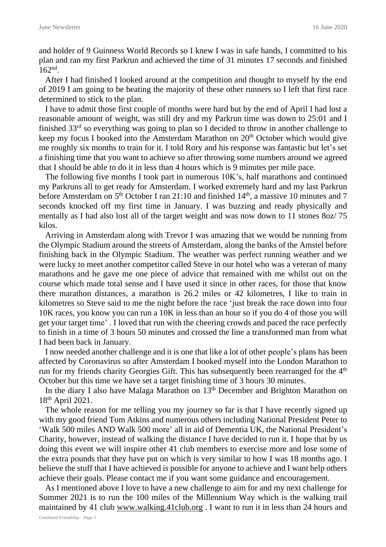and holder of 9 Guinness World Records so I knew I was in safe hands, I committed to his plan and ran my first Parkrun and achieved the time of 31 minutes 17 seconds and finished 162nd .

 After I had finished I looked around at the competition and thought to myself by the end of 2019 I am going to be beating the majority of these other runners so I left that first race determined to stick to the plan.

 I have to admit those first couple of months were hard but by the end of April I had lost a reasonable amount of weight, was still dry and my Parkrun time was down to 25:01 and I finished 33rd so everything was going to plan so I decided to throw in another challenge to keep my focus I booked into the Amsterdam Marathon on  $20<sup>th</sup>$  October which would give me roughly six months to train for it. I told Rory and his response was fantastic but let's set a finishing time that you want to achieve so after throwing some numbers around we agreed that I should be able to do it in less than 4 hours which is 9 minutes per mile pace.

 The following five months I took part in numerous 10K's, half marathons and continued my Parkruns all to get ready for Amsterdam. I worked extremely hard and my last Parkrun before Amsterdam on 5<sup>th</sup> October I ran 21:10 and finished 14<sup>th</sup>, a massive 10 minutes and 7 seconds knocked off my first time in January. I was buzzing and ready physically and mentally as I had also lost all of the target weight and was now down to 11 stones 8oz/ 75 kilos.

 Arriving in Amsterdam along with Trevor I was amazing that we would be running from the Olympic Stadium around the streets of Amsterdam, along the banks of the Amstel before finishing back in the Olympic Stadium. The weather was perfect running weather and we were lucky to meet another competitor called Steve in our hotel who was a veteran of many marathons and he gave me one piece of advice that remained with me whilst out on the course which made total sense and I have used it since in other races, for those that know there marathon distances, a marathon is 26.2 miles or 42 kilometres, I like to train in kilometres so Steve said to me the night before the race 'just break the race down into four 10K races, you know you can run a 10K in less than an hour so if you do 4 of those you will get your target time' . I loved that run with the cheering crowds and paced the race perfectly to finish in a time of 3 hours 50 minutes and crossed the line a transformed man from what I had been back in January.

 I now needed another challenge and it is one that like a lot of other people's plans has been affected by Coronavirus so after Amsterdam I booked myself into the London Marathon to run for my friends charity Georgies Gift. This has subsequently been rearranged for the 4<sup>th</sup> October but this time we have set a target finishing time of 3 hours 30 minutes.

In the diary I also have Malaga Marathon on 13<sup>th</sup> December and Brighton Marathon on 18th April 2021.

 The whole reason for me telling you my journey so far is that I have recently signed up with my good friend Tom Atkins and numerous others including National President Peter to 'Walk 500 miles AND Walk 500 more' all in aid of Dementia UK, the National President's Charity, however, instead of walking the distance I have decided to run it. I hope that by us doing this event we will inspire other 41 club members to exercise more and lose some of the extra pounds that they have put on which is very similar to how I was 18 months ago. I believe the stuff that I have achieved is possible for anyone to achieve and I want help others achieve their goals. Please contact me if you want some guidance and encouragement.

 As I mentioned above I love to have a new challenge to aim for and my next challenge for Summer 2021 is to run the 100 miles of the Millennium Way which is the walking trail maintained by 41 club [www.walking.41club.org](about:blank). I want to run it in less than 24 hours and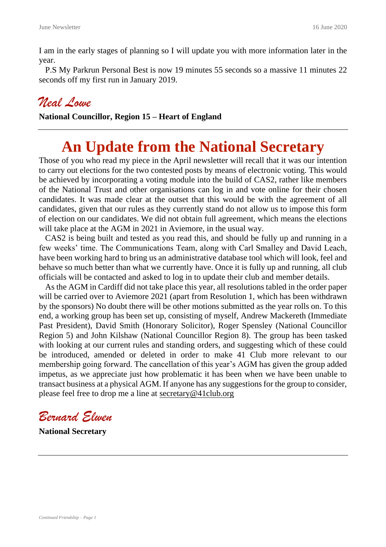I am in the early stages of planning so I will update you with more information later in the year.

 P.S My Parkrun Personal Best is now 19 minutes 55 seconds so a massive 11 minutes 22 seconds off my first run in January 2019.

### *Neal Lowe*

**National Councillor, Region 15 – Heart of England**

# **An Update from the National Secretary**

Those of you who read my piece in the April newsletter will recall that it was our intention to carry out elections for the two contested posts by means of electronic voting. This would be achieved by incorporating a voting module into the build of CAS2, rather like members of the National Trust and other organisations can log in and vote online for their chosen candidates. It was made clear at the outset that this would be with the agreement of all candidates, given that our rules as they currently stand do not allow us to impose this form of election on our candidates. We did not obtain full agreement, which means the elections will take place at the AGM in 2021 in Aviemore, in the usual way.

 CAS2 is being built and tested as you read this, and should be fully up and running in a few weeks' time. The Communications Team, along with Carl Smalley and David Leach, have been working hard to bring us an administrative database tool which will look, feel and behave so much better than what we currently have. Once it is fully up and running, all club officials will be contacted and asked to log in to update their club and member details.

 As the AGM in Cardiff did not take place this year, all resolutions tabled in the order paper will be carried over to Aviemore 2021 (apart from Resolution 1, which has been withdrawn by the sponsors) No doubt there will be other motions submitted as the year rolls on. To this end, a working group has been set up, consisting of myself, Andrew Mackereth (Immediate Past President), David Smith (Honorary Solicitor), Roger Spensley (National Councillor Region 5) and John Kilshaw (National Councillor Region 8). The group has been tasked with looking at our current rules and standing orders, and suggesting which of these could be introduced, amended or deleted in order to make 41 Club more relevant to our membership going forward. The cancellation of this year's AGM has given the group added impetus, as we appreciate just how problematic it has been when we have been unable to transact business at a physical AGM. If anyone has any suggestions for the group to consider, please feel free to drop me a line at [secretary@41club.org](about:blank)

*Bernard Elwen*

**National Secretary**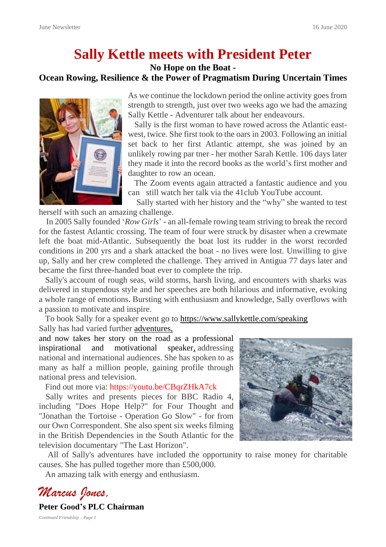## **Sally Kettle meets with President Peter**

#### **No Hope on the Boat - Ocean Rowing, Resilience & the Power of Pragmatism During Uncertain Times**



As we continue the lockdown period the online activity goes from strength to strength, just over two weeks ago we had the amazing Sally Kettle - Adventurer talk about her endeavours.

 Sally is the first woman to have rowed across the Atlantic eastwest, twice. She first took to the oars in 2003. Following an initial set back to her first Atlantic attempt, she was joined by an unlikely rowing par tner - her mother Sarah Kettle. 106 days later they made it into the record books as the world's first mother and daughter to row an ocean.

 The Zoom events again attracted a fantastic audience and you can still watch her talk via the 41club YouTube account.

 Sally started with her history and the "why" she wanted to test herself with such an amazing challenge.

 In 2005 Sally founded '*Row Girls*' - an all-female rowing team striving to break the record for the fastest Atlantic crossing. The team of four were struck by disaster when a crewmate left the boat mid-Atlantic. Subsequently the boat lost its rudder in the worst recorded conditions in 200 yrs and a shark attacked the boat - no lives were lost. Unwilling to give up, Sally and her crew completed the challenge. They arrived in Antigua 77 days later and became the first three-handed boat ever to complete the trip.

 Sally's account of rough seas, wild storms, harsh living, and encounters with sharks was delivered in stupendous style and her speeches are both hilarious and informative, evoking a whole range of emotions. Bursting with enthusiasm and knowledge, Sally overflows with a passion to motivate and inspire.

 To book Sally for a speaker event go to [https://www.sallykettle.com/speaking](about:blank) Sally has had varied further [adventures,](about:blank)

and now takes her story on the road as a professional inspirational and motivational speaker, addressing national and international audiences. She has spoken to as many as half a million people, gaining profile through national press and television.

Find out more via: https://youtu.be/CBqrZHkA7ck

Sally writes and presents pieces for BBC Radio 4, including "Does Hope Help?" for Four Thought and "Jonathan the Tortoise - Operation Go Slow" - for from our Own Correspondent. She also spent six weeks filming in the British Dependencies in the South Atlantic for the television documentary "The Last Horizon".



 All of Sally's adventures have included the opportunity to raise money for charitable causes. She has pulled together more than £500,000.

An amazing talk with energy and enthusiasm.

*Marcus Jones,*

**Peter Good's PLC Chairman**

*Continued Friendship – Page 1*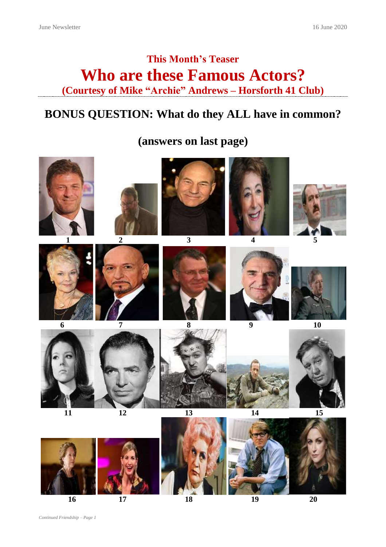## **This Month's Teaser Who are these Famous Actors? (Courtesy of Mike "Archie" Andrews – Horsforth 41 Club)**

### **BONUS QUESTION: What do they ALL have in common?**

**(answers on last page)**



**16** 17 18 19 20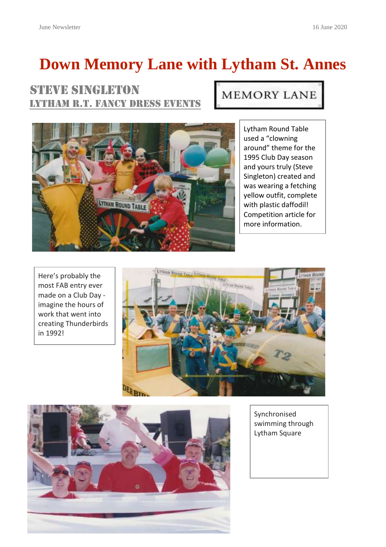# **Down Memory Lane with Lytham St. Annes**

### STEVE SINGLETON LYTHAM R.T. FANCY DRESS EVENTS

## **MEMORY LANE**



Lytham Round Table used a "clowning around" theme for the 1995 Club Day season and yours truly (Steve Singleton) created and was wearing a fetching yellow outfit, complete with plastic daffodil! Competition article for more information.

Here's probably the most FAB entry ever made on a Club Day imagine the hours of work that went into creating Thunderbirds in 1992!





Synchronised swimming through Lytham Square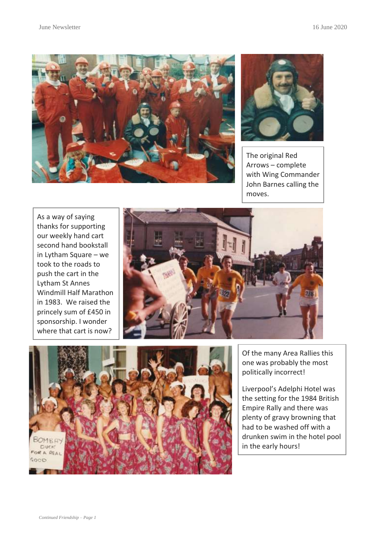



The original Red Arrows – complete with Wing Commander John Barnes calling the moves.

As a way of saying thanks for supporting our weekly hand cart second hand bookstall in Lytham Square – we took to the roads to push the cart in the Lytham St Annes Windmill Half Marathon in 1983. We raised the princely sum of £450 in sponsorship. I wonder where that cart is now?





Of the many Area Rallies this one was probably the most politically incorrect!

Liverpool's Adelphi Hotel was the setting for the 1984 British Empire Rally and there was plenty of gravy browning that had to be washed off with a drunken swim in the hotel pool in the early hours!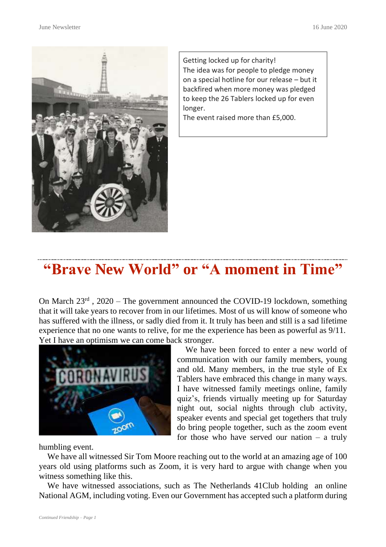

Getting locked up for charity! The idea was for people to pledge money on a special hotline for our release – but it backfired when more money was pledged to keep the 26 Tablers locked up for even longer.

The event raised more than £5,000.

## **"Brave New World" or "A moment in Time"**

On March 23<sup>rd</sup>, 2020 – The government announced the COVID-19 lockdown, something that it will take years to recover from in our lifetimes. Most of us will know of someone who has suffered with the illness, or sadly died from it. It truly has been and still is a sad lifetime experience that no one wants to relive, for me the experience has been as powerful as 9/11. Yet I have an optimism we can come back stronger.



 We have been forced to enter a new world of communication with our family members, young and old. Many members, in the true style of Ex Tablers have embraced this change in many ways. I have witnessed family meetings online, family quiz's, friends virtually meeting up for Saturday night out, social nights through club activity, speaker events and special get togethers that truly do bring people together, such as the zoom event for those who have served our nation  $-$  a truly

humbling event.

 We have all witnessed Sir Tom Moore reaching out to the world at an amazing age of 100 years old using platforms such as Zoom, it is very hard to argue with change when you witness something like this.

 We have witnessed associations, such as The Netherlands 41Club holding an online National AGM, including voting. Even our Government has accepted such a platform during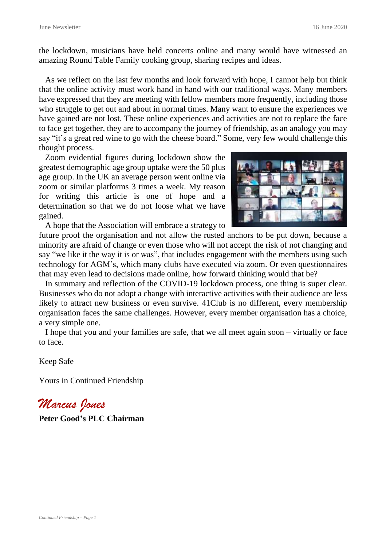the lockdown, musicians have held concerts online and many would have witnessed an amazing Round Table Family cooking group, sharing recipes and ideas.

 As we reflect on the last few months and look forward with hope, I cannot help but think that the online activity must work hand in hand with our traditional ways. Many members have expressed that they are meeting with fellow members more frequently, including those who struggle to get out and about in normal times. Many want to ensure the experiences we have gained are not lost. These online experiences and activities are not to replace the face to face get together, they are to accompany the journey of friendship, as an analogy you may say "it's a great red wine to go with the cheese board." Some, very few would challenge this thought process.

 Zoom evidential figures during lockdown show the greatest demographic age group uptake were the 50 plus age group. In the UK an average person went online via zoom or similar platforms 3 times a week. My reason for writing this article is one of hope and a determination so that we do not loose what we have gained.



A hope that the Association will embrace a strategy to

future proof the organisation and not allow the rusted anchors to be put down, because a minority are afraid of change or even those who will not accept the risk of not changing and say "we like it the way it is or was", that includes engagement with the members using such technology for AGM's, which many clubs have executed via zoom. Or even questionnaires that may even lead to decisions made online, how forward thinking would that be?

 In summary and reflection of the COVID-19 lockdown process, one thing is super clear. Businesses who do not adopt a change with interactive activities with their audience are less likely to attract new business or even survive. 41Club is no different, every membership organisation faces the same challenges. However, every member organisation has a choice, a very simple one.

 I hope that you and your families are safe, that we all meet again soon – virtually or face to face.

Keep Safe

Yours in Continued Friendship

*Marcus Jones* **Peter Good's PLC Chairman**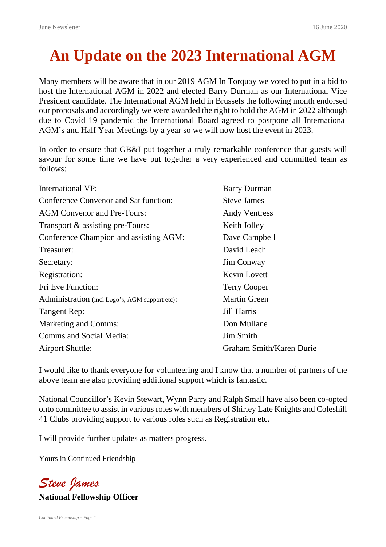# **An Update on the 2023 International AGM**

Many members will be aware that in our 2019 AGM In Torquay we voted to put in a bid to host the International AGM in 2022 and elected Barry Durman as our International Vice President candidate. The International AGM held in Brussels the following month endorsed our proposals and accordingly we were awarded the right to hold the AGM in 2022 although due to Covid 19 pandemic the International Board agreed to postpone all International AGM's and Half Year Meetings by a year so we will now host the event in 2023.

In order to ensure that GB&I put together a truly remarkable conference that guests will savour for some time we have put together a very experienced and committed team as follows:

| International VP:                              | <b>Barry Durman</b>             |
|------------------------------------------------|---------------------------------|
| Conference Convenor and Sat function:          | <b>Steve James</b>              |
| <b>AGM</b> Convenor and Pre-Tours:             | <b>Andy Ventress</b>            |
| Transport & assisting pre-Tours:               | Keith Jolley                    |
| Conference Champion and assisting AGM:         | Dave Campbell                   |
| Treasurer:                                     | David Leach                     |
| Secretary:                                     | <b>Jim Conway</b>               |
| Registration:                                  | Kevin Lovett                    |
| Fri Eve Function:                              | <b>Terry Cooper</b>             |
| Administration (incl Logo's, AGM support etc): | <b>Martin Green</b>             |
| Tangent Rep:                                   | Jill Harris                     |
| Marketing and Comms:                           | Don Mullane                     |
| Comms and Social Media:                        | Jim Smith                       |
| <b>Airport Shuttle:</b>                        | <b>Graham Smith/Karen Durie</b> |

I would like to thank everyone for volunteering and I know that a number of partners of the above team are also providing additional support which is fantastic.

National Councillor's Kevin Stewart, Wynn Parry and Ralph Small have also been co-opted onto committee to assist in various roles with members of Shirley Late Knights and Coleshill 41 Clubs providing support to various roles such as Registration etc.

I will provide further updates as matters progress.

Yours in Continued Friendship

*Steve James*

**National Fellowship Officer**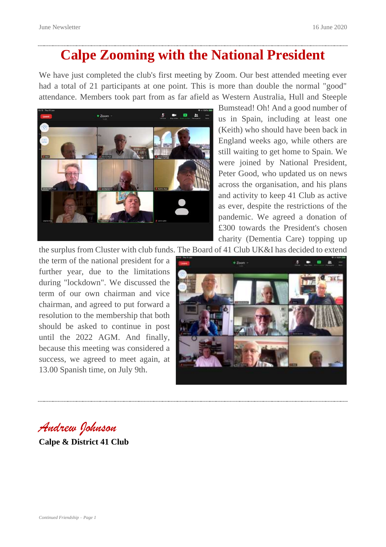## **Calpe Zooming with the National President**

We have just completed the club's first meeting by Zoom. Our best attended meeting ever had a total of 21 participants at one point. This is more than double the normal "good" attendance. Members took part from as far afield as Western Australia, Hull and Steeple



Bumstead! Oh! And a good number of us in Spain, including at least one (Keith) who should have been back in England weeks ago, while others are still waiting to get home to Spain. We were joined by National President, Peter Good, who updated us on news across the organisation, and his plans and activity to keep 41 Club as active as ever, despite the restrictions of the pandemic. We agreed a donation of £300 towards the President's chosen charity (Dementia Care) topping up

the surplus from Cluster with club funds. The Board of 41 Club UK&I has decided to extend

the term of the national president for a further year, due to the limitations during "lockdown". We discussed the term of our own chairman and vice chairman, and agreed to put forward a resolution to the membership that both should be asked to continue in post until the 2022 AGM. And finally, because this meeting was considered a success, we agreed to meet again, at 13.00 Spanish time, on July 9th.



*Andrew Johnson* **Calpe & District 41 Club**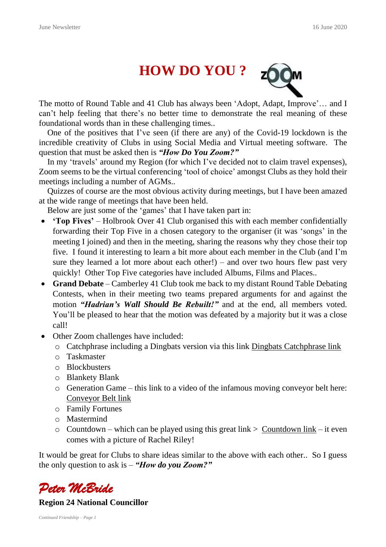

The motto of Round Table and 41 Club has always been 'Adopt, Adapt, Improve'… and I can't help feeling that there's no better time to demonstrate the real meaning of these foundational words than in these challenging times..

 One of the positives that I've seen (if there are any) of the Covid-19 lockdown is the incredible creativity of Clubs in using Social Media and Virtual meeting software. The question that must be asked then is *"How Do You Zoom?"*

 In my 'travels' around my Region (for which I've decided not to claim travel expenses), Zoom seems to be the virtual conferencing 'tool of choice' amongst Clubs as they hold their meetings including a number of AGMs..

 Quizzes of course are the most obvious activity during meetings, but I have been amazed at the wide range of meetings that have been held.

Below are just some of the 'games' that I have taken part in:

- **'Top Fives'** Holbrook Over 41 Club organised this with each member confidentially forwarding their Top Five in a chosen category to the organiser (it was 'songs' in the meeting I joined) and then in the meeting, sharing the reasons why they chose their top five. I found it interesting to learn a bit more about each member in the Club (and I'm sure they learned a lot more about each other!) – and over two hours flew past very quickly! Other Top Five categories have included Albums, Films and Places..
- **Grand Debate** Camberley 41 Club took me back to my distant Round Table Debating Contests, when in their meeting two teams prepared arguments for and against the motion *"Hadrian's Wall Should Be Rebuilt!"* and at the end, all members voted. You'll be pleased to hear that the motion was defeated by a majority but it was a close call!
- Other Zoom challenges have included:
	- o Catchphrase including a Dingbats version via this link Dingbats [Catchphrase](https://www.bing.com/videos/search?q=catch+phrase+quiz&ru=%2fvideos%2fsearch%3fq%3dcatch%2520phrase%2520quiz%26qs%3dn%26form%3dQBVR%26sp%3d-1%26pq%3dcatch%2520phrase%2520quiz%26sc%3d7-17%26sk%3d%26cvid%3d4D22A918D1664C8CA0870EA6630C45A5&view=detail&mid=FC3B9D2200A7934BC989FC3B9D2200A7934BC989&rvsmid=D9215EF041A769AE7517D9215EF041A769AE7517&FORM=VDQVAP) link
	- o Taskmaster
	- o Blockbusters
	- o Blankety Blank
	- o Generation Game this link to a video of the infamous moving conveyor belt here: [Conveyor](https://www.youtube.com/watch?v=4RpjDnol1Fo) Belt link
	- o Family Fortunes
	- o Mastermind
	- o [Countdown](http://happysoft.org.uk/countdown/index.html) which can be played using this great link  $>$  Countdown link it even comes with a picture of Rachel Riley!

It would be great for Clubs to share ideas similar to the above with each other.. So I guess the only question to ask is – *"How do you Zoom?"*



#### **Region 24 National Councillor**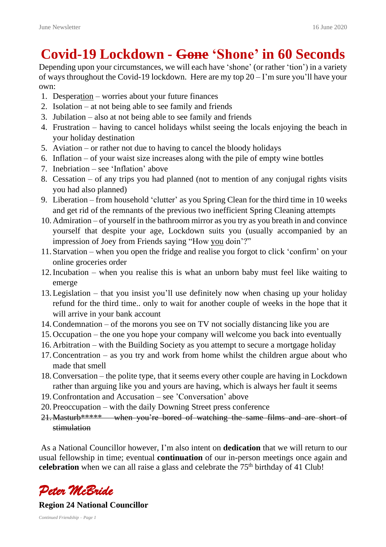## **Covid-19 Lockdown - Gone 'Shone' in 60 Seconds**

Depending upon your circumstances, we will each have 'shone' (or rather 'tion') in a variety of ways throughout the Covid-19 lockdown. Here are my top 20 – I'm sure you'll have your own:

- 1. Desperation worries about your future finances
- 2. Isolation at not being able to see family and friends
- 3. Jubilation also at not being able to see family and friends
- 4. Frustration having to cancel holidays whilst seeing the locals enjoying the beach in your holiday destination
- 5. Aviation or rather not due to having to cancel the bloody holidays
- 6. Inflation of your waist size increases along with the pile of empty wine bottles
- 7. Inebriation see 'Inflation' above
- 8. Cessation of any trips you had planned (not to mention of any conjugal rights visits you had also planned)
- 9. Liberation from household 'clutter' as you Spring Clean for the third time in 10 weeks and get rid of the remnants of the previous two inefficient Spring Cleaning attempts
- 10.Admiration of yourself in the bathroom mirror as you try as you breath in and convince yourself that despite your age, Lockdown suits you (usually accompanied by an impression of Joey from Friends saying "How you doin'?"
- 11.Starvation when you open the fridge and realise you forgot to click 'confirm' on your online groceries order
- 12.Incubation when you realise this is what an unborn baby must feel like waiting to emerge
- 13.Legislation that you insist you'll use definitely now when chasing up your holiday refund for the third time.. only to wait for another couple of weeks in the hope that it will arrive in your bank account
- 14.Condemnation of the morons you see on TV not socially distancing like you are
- 15.Occupation the one you hope your company will welcome you back into eventually
- 16.Arbitration with the Building Society as you attempt to secure a mortgage holiday
- 17.Concentration as you try and work from home whilst the children argue about who made that smell
- 18.Conversation the polite type, that it seems every other couple are having in Lockdown rather than arguing like you and yours are having, which is always her fault it seems
- 19.Confrontation and Accusation see 'Conversation' above
- 20.Preoccupation with the daily Downing Street press conference
- 21. Masturb\*\*\*\*\* when you're bored of watching the same films and are short of stimulation

As a National Councillor however, I'm also intent on **dedication** that we will return to our usual fellowship in time; eventual **continuation** of our in-person meetings once again and **celebration** when we can all raise a glass and celebrate the 75<sup>th</sup> birthday of 41 Club!



#### **Region 24 National Councillor**

*Continued Friendship – Page 1*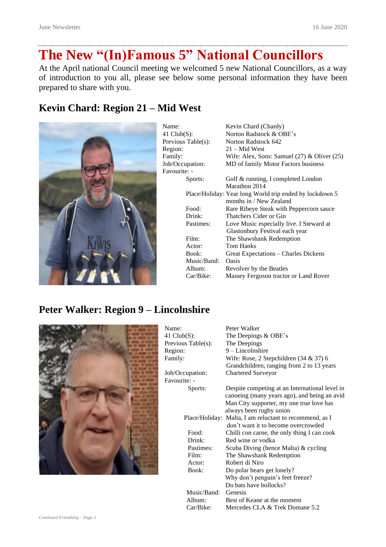# **The New "(In)Famous 5" National Councillors**

At the April national Council meeting we welcomed 5 new National Councillors, as a way of introduction to you all, please see below some personal information they have been prepared to share with you.

#### **Kevin Chard: Region 21 – Mid West**



| Name:              | Kevin Chard (Chardy)                                    |
|--------------------|---------------------------------------------------------|
| 41 $Club(S)$ :     | Norton Radstock & OBE's                                 |
| Previous Table(s): | Norton Radstock 642                                     |
| Region:            | $21 - Mid West$                                         |
| Family:            | Wife: Alex, Sons: Samuel $(27)$ & Oliver $(25)$         |
| Job/Occupation:    | MD of family Motor Factors business                     |
| Favourite: -       |                                                         |
| Sports:            | Golf & running, I completed London                      |
|                    | Marathon 2014                                           |
|                    | Place/Holiday: Year long World trip ended by lockdown 5 |
|                    | months in / New Zealand                                 |
| Food:              | Rare Ribeye Steak with Peppercorn sauce                 |
| Drink:             | Thatchers Cider or Gin                                  |
| Pastimes:          | Love Music especially live. I Steward at                |
|                    | Glastonbury Festival each year                          |
| Film:              | The Shawshank Redemption                                |
| Actor:             | Tom Hanks                                               |
| Book:              | Great Expectations – Charles Dickens                    |
| Music/Band:        | Oasis                                                   |
| Album:             | Revolver by the Beatles                                 |
| Car/Bike:          | Massey Ferguson tractor or Land Rover                   |

#### **Peter Walker: Region 9 – Lincolnshire**



| Name:               | Peter Walker                                            |
|---------------------|---------------------------------------------------------|
| 41 $Club(S)$ :      | The Deepings & OBE's                                    |
| Previous Table(s):  | The Deepings                                            |
| Region:             | $9$ – Lincolnshire                                      |
| Family:             | Wife: Rose, 2 Stepchildren $(34 \& 37)$ 6               |
|                     | Grandchildren, ranging from 2 to 13 years               |
| Job/Occupation:     | <b>Chartered Surveyor</b>                               |
| Favourite: -        |                                                         |
| Sports:             | Despite competing at an International level in          |
|                     | canoeing (many years ago), and being an avid            |
|                     | Man City supporter, my one true love has                |
|                     | always been rugby union                                 |
|                     | Place/Holiday: Malta, I am reluctant to recommend, as I |
|                     | don't want it to become overcrowded                     |
| Food:               | Chilli con carne, the only thing I can cook             |
| Drink:              | Red wine or vodka                                       |
| Pastimes:           | Scuba Diving (hence Malta) & cycling                    |
| Film:               | The Shawshank Redemption                                |
| Actor:              | Robert di Niro                                          |
| Book:               | Do polar bears get lonely?                              |
|                     | Why don't penguin's feet freeze?                        |
|                     | Do bats have bollocks?                                  |
| Music/Band: Genesis |                                                         |
| Album:              | Best of Keane at the moment                             |
| Car/Bike:           | Mercedes CLA & Trek Domane 5.2                          |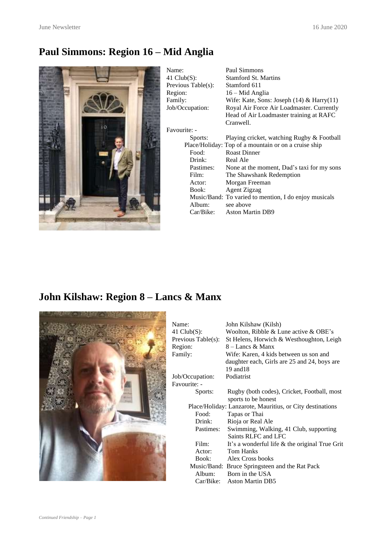### **Paul Simmons: Region 16 – Mid Anglia**



| Name:              | Paul Simmons                                          |
|--------------------|-------------------------------------------------------|
| 41 $Club(S)$ :     | <b>Stamford St. Martins</b>                           |
| Previous Table(s): | Stamford 611                                          |
| Region:            | 16 – Mid Anglia                                       |
| Family:            | Wife: Kate, Sons: Joseph $(14)$ & Harry $(11)$        |
| Job/Occupation:    | Royal Air Force Air Loadmaster. Currently             |
|                    | Head of Air Loadmaster training at RAFC               |
|                    | Cranwell.                                             |
| Favourite: -       |                                                       |
| Sports:            | Playing cricket, watching Rugby & Football            |
|                    | Place/Holiday: Top of a mountain or on a cruise ship  |
| Food:              | <b>Roast Dinner</b>                                   |
| Drink:             | Real Ale                                              |
| Pastimes:          | None at the moment, Dad's taxi for my sons            |
| Film:              | The Shawshank Redemption                              |
| Actor:             | Morgan Freeman                                        |
| Book:              | Agent Zigzag                                          |
|                    | Music/Band: To varied to mention, I do enjoy musicals |
| Album:             | see above                                             |
| Car/Bike:          | <b>Aston Martin DB9</b>                               |

### **John Kilshaw: Region 8 – Lancs & Manx**



| Name:              | John Kilshaw (Kilsh)                                      |
|--------------------|-----------------------------------------------------------|
| 41 $Club(S)$ :     | Woolton, Ribble & Lune active & OBE's                     |
| Previous Table(s): | St Helens, Horwich & Westhoughton, Leigh                  |
| Region:            | $8 -$ Lancs & Manx                                        |
| Family:            | Wife: Karen, 4 kids between us son and                    |
|                    | daughter each, Girls are 25 and 24, boys are              |
|                    | 19 and 18                                                 |
| Job/Occupation:    | Podiatrist                                                |
| Favourite: -       |                                                           |
| Sports:            | Rugby (both codes), Cricket, Football, most               |
|                    | sports to be honest                                       |
|                    | Place/Holiday: Lanzarote, Mauritius, or City destinations |
| Food:              | Tapas or Thai                                             |
| Drink:             | Rioja or Real Ale                                         |
| Pastimes:          | Swimming, Walking, 41 Club, supporting                    |
|                    | Saints RLFC and LFC                                       |
| Film:              | It's a wonderful life & the original True Grit            |
| Actor:             | Tom Hanks                                                 |
|                    | Book: Alex Cross books                                    |
|                    | Music/Band: Bruce Springsteen and the Rat Pack            |
| Album:             | Born in the USA                                           |
| Car/Bike:          | <b>Aston Martin DB5</b>                                   |
|                    |                                                           |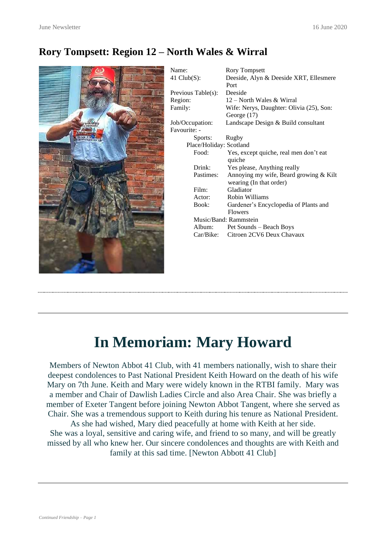#### **Rory Tompsett: Region 12 – North Wales & Wirral**



# **In Memoriam: Mary Howard**

Members of Newton Abbot 41 Club, with 41 members nationally, wish to share their deepest condolences to Past National President Keith Howard on the death of his wife Mary on 7th June. Keith and Mary were widely known in the RTBI family. Mary was a member and Chair of Dawlish Ladies Circle and also Area Chair. She was briefly a member of Exeter Tangent before joining Newton Abbot Tangent, where she served as Chair. She was a tremendous support to Keith during his tenure as National President. As she had wished, Mary died peacefully at home with Keith at her side.

She was a loyal, sensitive and caring wife, and friend to so many, and will be greatly missed by all who knew her. Our sincere condolences and thoughts are with Keith and family at this sad time. [Newton Abbott 41 Club]